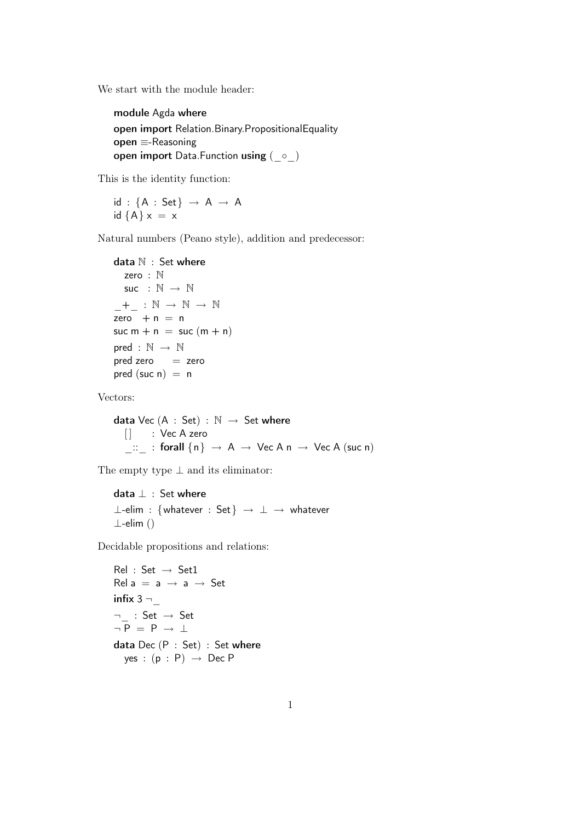We start with the module header:

```
module Agda where
open import Relation.Binary.PropositionalEquality
open ≡-Reasoning
open import Data.Function using (_◦_)
```
This is the identity function:

 $id : \{A : Set\} \rightarrow A \rightarrow A$ id  ${A} x = x$ 

Natural numbers (Peano style), addition and predecessor:

```
data \mathbb N : Set where
   zero : N
   suc : \mathbb{N} \rightarrow \mathbb{N}-+ : \mathbb{N} \rightarrow \mathbb{N} \rightarrow \mathbb{N}zero + n = nsuc m + n = suc (m + n)pred : \mathbb{N} \rightarrow \mathbb{N}pred zero = zero
pred (suc n) = n
```
Vectors:

data Vec  $(A : Set) : \mathbb{N} \rightarrow Set$  where [] : Vec A zero  $\therefore$  : forall  $\{n\} \rightarrow A \rightarrow \text{Vec } A \text{ n } \rightarrow \text{Vec } A \text{ (suc n)}$ 

The empty type  $\bot$  and its eliminator:

data ⊥ : Set where ⊥-elim : {whatever : Set} → ⊥ → whatever ⊥-elim ()

Decidable propositions and relations:

```
Rel : Set \rightarrow Set1Rel a = a \rightarrow a \rightarrow Setinfix 3 -\neg : Set \rightarrow Set
\neg P = P \rightarrow \botdata Dec (P : Set) : Set where
  yes : (p : P) \rightarrow Dec P
```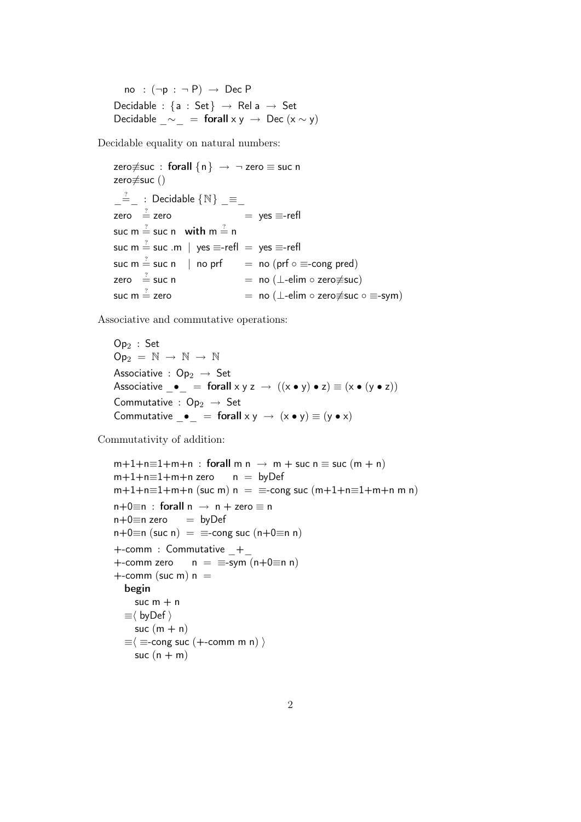no :  $(\neg p : \neg P) \rightarrow \text{Dec } P$ Decidable : {a : Set}  $\rightarrow$  Rel a  $\rightarrow$  Set Decidable  $\sim$  = forall x y → Dec (x ~ y)

Decidable equality on natural numbers:

zero $\neq$ suc : forall  $\{n\} \rightarrow \neg$  zero  $\equiv$  suc n zero≢suc ()  $\frac{?}{?}$  : Decidable  $\{ \mathbb{N} \}$  = zero  $\stackrel{?}{=}$  zero  $=$  yes  $\equiv$ -refl suc m  $\stackrel{?}{=}$  suc n  $\;$  with m  $\stackrel{?}{=}$  n suc m  $\stackrel{?}{=}$  suc .m  $\mid\,$  yes  $\equiv$ -refl  $\,=\,$  yes  $\equiv$ -refl suc m  $\stackrel{?}{=}$  suc n  $\mid$  no prf  $=$  no (prf  $\circ \equiv$ -cong pred) zero  $\stackrel{?}{=}$  suc n  $=$  no ( $\perp$ -elim  $\circ$  zero≢suc) suc m  $\stackrel{?}{=}$  zero  $=$  no (⊥-elim ∘ zero $\neq$ suc ∘  $\equiv$ -sym)

Associative and commutative operations:

 $Op<sub>2</sub>$ : Set  $Op_2 = N \rightarrow N \rightarrow N$ Associative :  $Op_2 \rightarrow Set$ Associative  $\bullet$  = forall  $x y z \rightarrow ((x \bullet y) \bullet z) \equiv (x \bullet (y \bullet z))$ Commutative :  $Op_2 \rightarrow Set$ Commutative  $\bullet$  = forall  $x y \rightarrow (x \bullet y) \equiv (y \bullet x)$ 

Commutativity of addition:

 $m+1+n\equiv 1+m+n$  : forall m  $n \rightarrow m +$  suc  $n \equiv$  suc  $(m + n)$  $m+1+n\equiv 1+m+n$  zero  $n = byDef$  $m+1+n=1+m+n$  (suc m)  $n = \pm$ -cong suc  $(m+1+n=1+m+n \text{ m})$  $n+0 \equiv n$  : forall  $n \rightarrow n +$  zero  $\equiv n$  $n+0 \equiv n$  zero  $=$  by Def  $n+0\equiv n$  (suc n) =  $\equiv$ -cong suc (n+0 $\equiv$ n n) +-comm : Commutative \_+\_ +-comm zero  $n = \equiv$ -sym  $(n+0\equiv n n)$  $+$ -comm (suc m)  $n =$ begin suc  $m + n$  $\equiv \langle$  byDef  $\rangle$ suc  $(m + n)$  $\equiv$   $\equiv$  =-cong suc (+-comm m n)  $\rangle$ suc  $(n + m)$